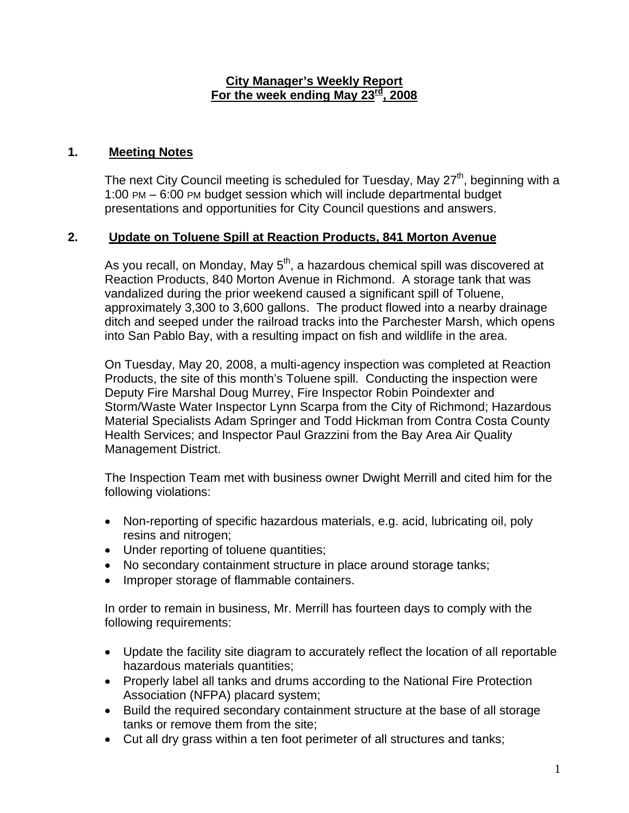#### **City Manager's Weekly Report For the week ending May 23rd, 2008**

# **1. Meeting Notes**

The next City Council meeting is scheduled for Tuesday, May  $27<sup>th</sup>$ , beginning with a 1:00 PM – 6:00 PM budget session which will include departmental budget presentations and opportunities for City Council questions and answers.

# **2. Update on Toluene Spill at Reaction Products, 841 Morton Avenue**

As you recall, on Monday, May  $5<sup>th</sup>$ , a hazardous chemical spill was discovered at Reaction Products, 840 Morton Avenue in Richmond. A storage tank that was vandalized during the prior weekend caused a significant spill of Toluene, approximately 3,300 to 3,600 gallons. The product flowed into a nearby drainage ditch and seeped under the railroad tracks into the Parchester Marsh, which opens into San Pablo Bay, with a resulting impact on fish and wildlife in the area.

On Tuesday, May 20, 2008, a multi-agency inspection was completed at Reaction Products, the site of this month's Toluene spill. Conducting the inspection were Deputy Fire Marshal Doug Murrey, Fire Inspector Robin Poindexter and Storm/Waste Water Inspector Lynn Scarpa from the City of Richmond; Hazardous Material Specialists Adam Springer and Todd Hickman from Contra Costa County Health Services; and Inspector Paul Grazzini from the Bay Area Air Quality Management District.

The Inspection Team met with business owner Dwight Merrill and cited him for the following violations:

- Non-reporting of specific hazardous materials, e.g. acid, lubricating oil, poly resins and nitrogen;
- Under reporting of toluene quantities;
- No secondary containment structure in place around storage tanks;
- Improper storage of flammable containers.

In order to remain in business, Mr. Merrill has fourteen days to comply with the following requirements:

- Update the facility site diagram to accurately reflect the location of all reportable hazardous materials quantities;
- Properly label all tanks and drums according to the National Fire Protection Association (NFPA) placard system;
- Build the required secondary containment structure at the base of all storage tanks or remove them from the site;
- Cut all dry grass within a ten foot perimeter of all structures and tanks;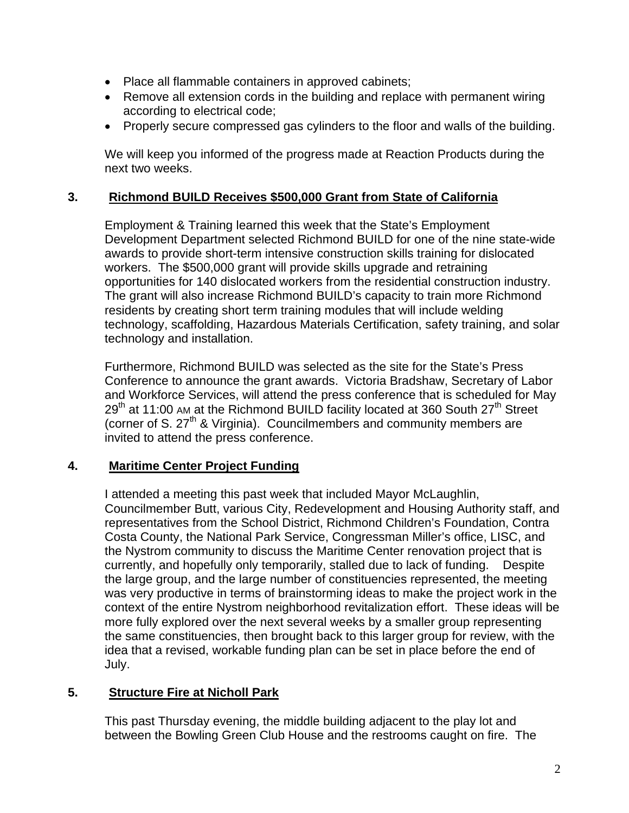- Place all flammable containers in approved cabinets;
- Remove all extension cords in the building and replace with permanent wiring according to electrical code;
- Properly secure compressed gas cylinders to the floor and walls of the building.

We will keep you informed of the progress made at Reaction Products during the next two weeks.

## **3. Richmond BUILD Receives \$500,000 Grant from State of California**

Employment & Training learned this week that the State's Employment Development Department selected Richmond BUILD for one of the nine state-wide awards to provide short-term intensive construction skills training for dislocated workers. The \$500,000 grant will provide skills upgrade and retraining opportunities for 140 dislocated workers from the residential construction industry. The grant will also increase Richmond BUILD's capacity to train more Richmond residents by creating short term training modules that will include welding technology, scaffolding, Hazardous Materials Certification, safety training, and solar technology and installation.

Furthermore, Richmond BUILD was selected as the site for the State's Press Conference to announce the grant awards. Victoria Bradshaw, Secretary of Labor and Workforce Services, will attend the press conference that is scheduled for May  $29<sup>th</sup>$  at 11:00 AM at the Richmond BUILD facility located at 360 South 27<sup>th</sup> Street (corner of S.  $27<sup>th</sup>$  & Virginia). Councilmembers and community members are invited to attend the press conference.

#### **4. Maritime Center Project Funding**

I attended a meeting this past week that included Mayor McLaughlin, Councilmember Butt, various City, Redevelopment and Housing Authority staff, and representatives from the School District, Richmond Children's Foundation, Contra Costa County, the National Park Service, Congressman Miller's office, LISC, and the Nystrom community to discuss the Maritime Center renovation project that is currently, and hopefully only temporarily, stalled due to lack of funding. Despite the large group, and the large number of constituencies represented, the meeting was very productive in terms of brainstorming ideas to make the project work in the context of the entire Nystrom neighborhood revitalization effort. These ideas will be more fully explored over the next several weeks by a smaller group representing the same constituencies, then brought back to this larger group for review, with the idea that a revised, workable funding plan can be set in place before the end of July.

# **5. Structure Fire at Nicholl Park**

This past Thursday evening, the middle building adjacent to the play lot and between the Bowling Green Club House and the restrooms caught on fire. The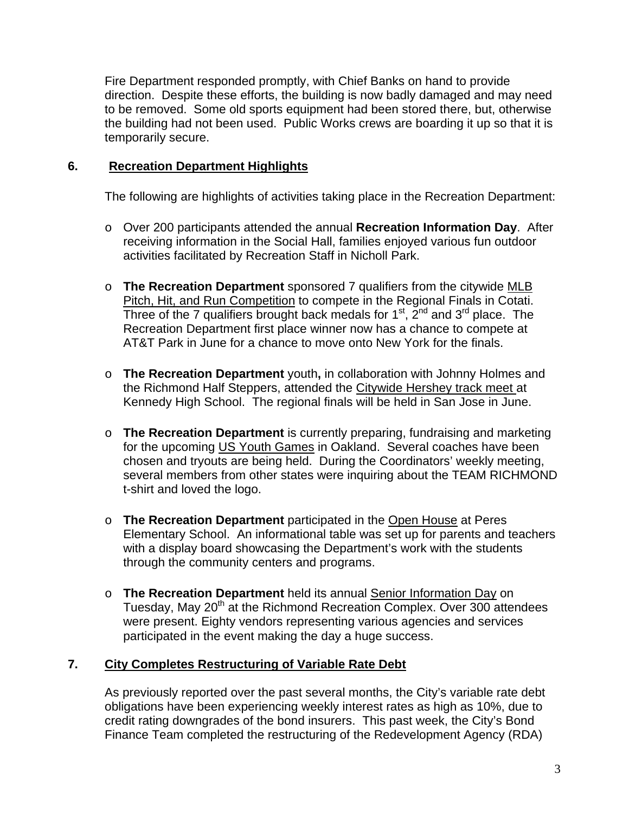Fire Department responded promptly, with Chief Banks on hand to provide direction. Despite these efforts, the building is now badly damaged and may need to be removed. Some old sports equipment had been stored there, but, otherwise the building had not been used. Public Works crews are boarding it up so that it is temporarily secure.

## **6. Recreation Department Highlights**

The following are highlights of activities taking place in the Recreation Department:

- o Over 200 participants attended the annual **Recreation Information Day**. After receiving information in the Social Hall, families enjoyed various fun outdoor activities facilitated by Recreation Staff in Nicholl Park.
- o **The Recreation Department** sponsored 7 qualifiers from the citywide MLB Pitch, Hit, and Run Competition to compete in the Regional Finals in Cotati. Three of the 7 qualifiers brought back medals for  $1<sup>st</sup>$ ,  $2<sup>nd</sup>$  and  $3<sup>rd</sup>$  place. The Recreation Department first place winner now has a chance to compete at AT&T Park in June for a chance to move onto New York for the finals.
- o **The Recreation Department** youth**,** in collaboration with Johnny Holmes and the Richmond Half Steppers, attended the Citywide Hershey track meet at Kennedy High School. The regional finals will be held in San Jose in June.
- o **The Recreation Department** is currently preparing, fundraising and marketing for the upcoming US Youth Games in Oakland. Several coaches have been chosen and tryouts are being held. During the Coordinators' weekly meeting, several members from other states were inquiring about the TEAM RICHMOND t-shirt and loved the logo.
- o **The Recreation Department** participated in the Open House at Peres Elementary School. An informational table was set up for parents and teachers with a display board showcasing the Department's work with the students through the community centers and programs.
- o **The Recreation Department** held its annual Senior Information Day on Tuesday, May 20<sup>th</sup> at the Richmond Recreation Complex. Over 300 attendees were present. Eighty vendors representing various agencies and services participated in the event making the day a huge success.

# **7. City Completes Restructuring of Variable Rate Debt**

As previously reported over the past several months, the City's variable rate debt obligations have been experiencing weekly interest rates as high as 10%, due to credit rating downgrades of the bond insurers. This past week, the City's Bond Finance Team completed the restructuring of the Redevelopment Agency (RDA)